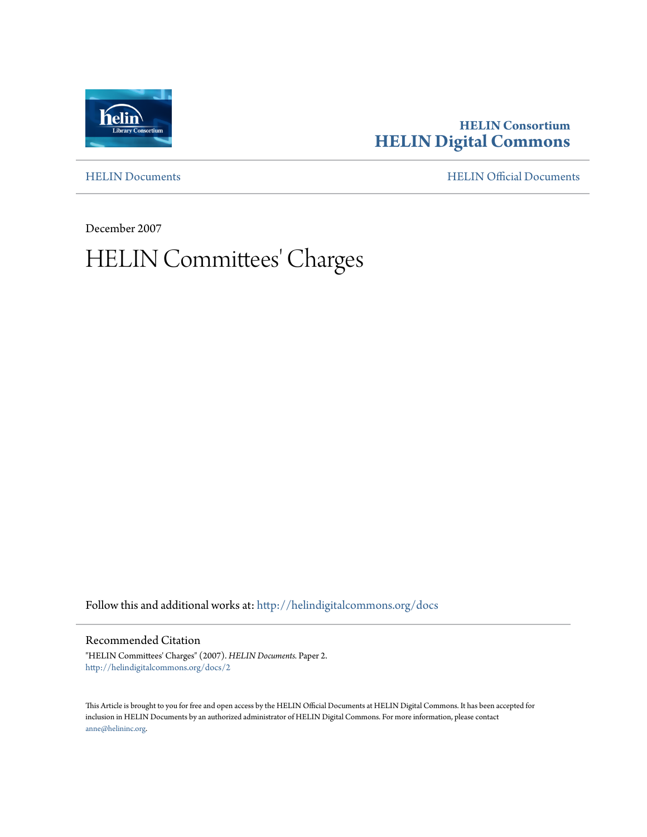

# **HELIN Consortium [HELIN Digital Commons](http://helindigitalcommons.org?utm_source=helindigitalcommons.org%2Fdocs%2F2&utm_medium=PDF&utm_campaign=PDFCoverPages)**

[HELIN Documents](http://helindigitalcommons.org/docs?utm_source=helindigitalcommons.org%2Fdocs%2F2&utm_medium=PDF&utm_campaign=PDFCoverPages) [HELIN Official Documents](http://helindigitalcommons.org/documents?utm_source=helindigitalcommons.org%2Fdocs%2F2&utm_medium=PDF&utm_campaign=PDFCoverPages)

December 2007

# HELIN Committees' Charges

Follow this and additional works at: [http://helindigitalcommons.org/docs](http://helindigitalcommons.org/docs?utm_source=helindigitalcommons.org%2Fdocs%2F2&utm_medium=PDF&utm_campaign=PDFCoverPages)

Recommended Citation

"HELIN Committees' Charges" (2007). *HELIN Documents.* Paper 2. [http://helindigitalcommons.org/docs/2](http://helindigitalcommons.org/docs/2?utm_source=helindigitalcommons.org%2Fdocs%2F2&utm_medium=PDF&utm_campaign=PDFCoverPages)

This Article is brought to you for free and open access by the HELIN Official Documents at HELIN Digital Commons. It has been accepted for inclusion in HELIN Documents by an authorized administrator of HELIN Digital Commons. For more information, please contact [anne@helininc.org.](mailto:anne@helininc.org)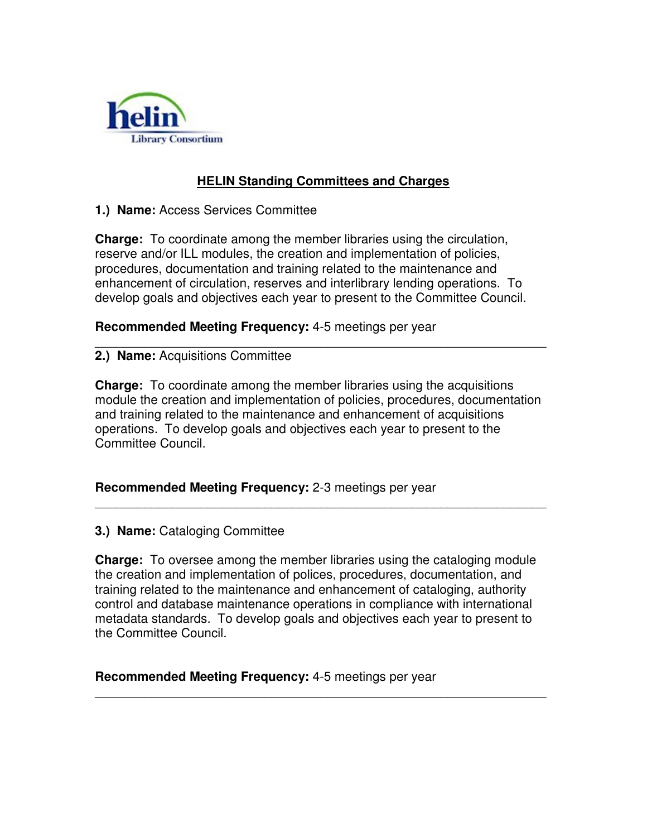

# **HELIN Standing Committees and Charges**

# **1.) Name:** Access Services Committee

**Charge:** To coordinate among the member libraries using the circulation, reserve and/or ILL modules, the creation and implementation of policies, procedures, documentation and training related to the maintenance and enhancement of circulation, reserves and interlibrary lending operations. To develop goals and objectives each year to present to the Committee Council.

**Recommended Meeting Frequency:** 4-5 meetings per year

#### \_\_\_\_\_\_\_\_\_\_\_\_\_\_\_\_\_\_\_\_\_\_\_\_\_\_\_\_\_\_\_\_\_\_\_\_\_\_\_\_\_\_\_\_\_\_\_\_\_\_\_\_\_\_\_\_\_\_\_\_\_\_\_\_ **2.) Name:** Acquisitions Committee

**Charge:** To coordinate among the member libraries using the acquisitions module the creation and implementation of policies, procedures, documentation and training related to the maintenance and enhancement of acquisitions operations. To develop goals and objectives each year to present to the Committee Council.

\_\_\_\_\_\_\_\_\_\_\_\_\_\_\_\_\_\_\_\_\_\_\_\_\_\_\_\_\_\_\_\_\_\_\_\_\_\_\_\_\_\_\_\_\_\_\_\_\_\_\_\_\_\_\_\_\_\_\_\_\_\_\_\_

# **Recommended Meeting Frequency:** 2-3 meetings per year

# **3.) Name:** Cataloging Committee

**Charge:** To oversee among the member libraries using the cataloging module the creation and implementation of polices, procedures, documentation, and training related to the maintenance and enhancement of cataloging, authority control and database maintenance operations in compliance with international metadata standards. To develop goals and objectives each year to present to the Committee Council.

\_\_\_\_\_\_\_\_\_\_\_\_\_\_\_\_\_\_\_\_\_\_\_\_\_\_\_\_\_\_\_\_\_\_\_\_\_\_\_\_\_\_\_\_\_\_\_\_\_\_\_\_\_\_\_\_\_\_\_\_\_\_\_\_

**Recommended Meeting Frequency:** 4-5 meetings per year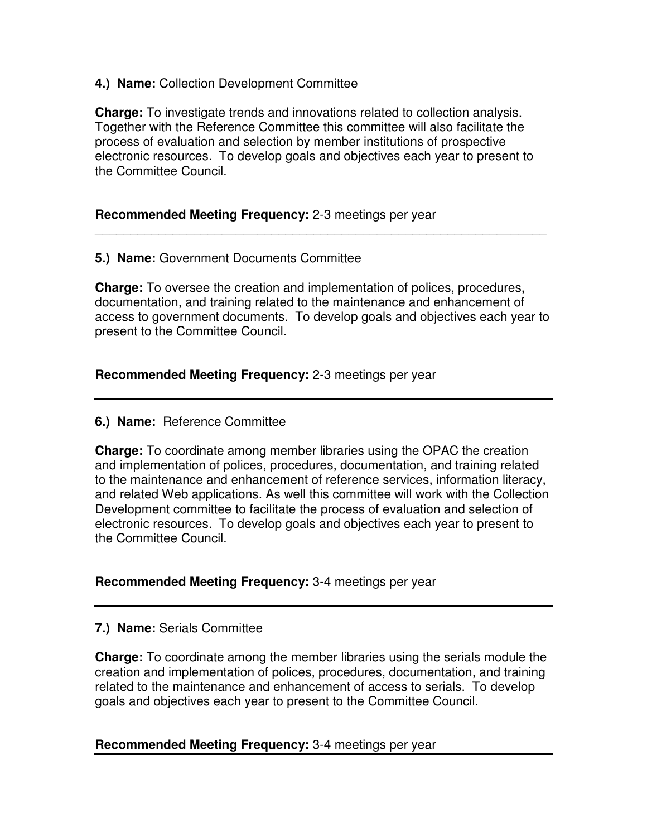# **4.) Name:** Collection Development Committee

**Charge:** To investigate trends and innovations related to collection analysis. Together with the Reference Committee this committee will also facilitate the process of evaluation and selection by member institutions of prospective electronic resources. To develop goals and objectives each year to present to the Committee Council.

# **Recommended Meeting Frequency:** 2-3 meetings per year

# **5.) Name:** Government Documents Committee

**Charge:** To oversee the creation and implementation of polices, procedures, documentation, and training related to the maintenance and enhancement of access to government documents. To develop goals and objectives each year to present to the Committee Council.

\_\_\_\_\_\_\_\_\_\_\_\_\_\_\_\_\_\_\_\_\_\_\_\_\_\_\_\_\_\_\_\_\_\_\_\_\_\_\_\_\_\_\_\_\_\_\_\_\_\_\_\_\_\_\_\_\_\_\_\_\_\_\_\_

# **Recommended Meeting Frequency:** 2-3 meetings per year

# **6.) Name:** Reference Committee

**Charge:** To coordinate among member libraries using the OPAC the creation and implementation of polices, procedures, documentation, and training related to the maintenance and enhancement of reference services, information literacy, and related Web applications. As well this committee will work with the Collection Development committee to facilitate the process of evaluation and selection of electronic resources. To develop goals and objectives each year to present to the Committee Council.

# **Recommended Meeting Frequency:** 3-4 meetings per year

# **7.) Name:** Serials Committee

**Charge:** To coordinate among the member libraries using the serials module the creation and implementation of polices, procedures, documentation, and training related to the maintenance and enhancement of access to serials. To develop goals and objectives each year to present to the Committee Council.

# **Recommended Meeting Frequency:** 3-4 meetings per year